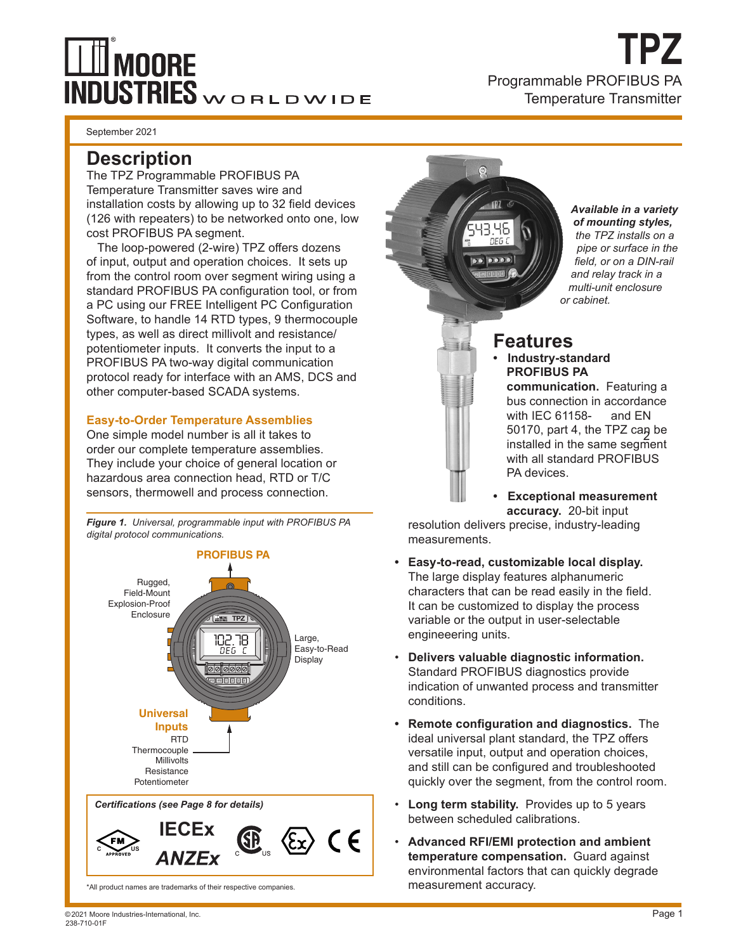# **II** MOORE **INDUSTRIES**WORLDWIDE

**TPZ** Programmable PROFIBUS PA Temperature Transmitter

September 2021

### **Description**

The TPZ Programmable PROFIBUS PA Temperature Transmitter saves wire and installation costs by allowing up to 32 field devices (126 with repeaters) to be networked onto one, low cost PROFIBUS PA segment.

The loop-powered (2-wire) TPZ offers dozens of input, output and operation choices. It sets up from the control room over segment wiring using a standard PROFIBUS PA configuration tool, or from a PC using our FREE Intelligent PC Configuration Software, to handle 14 RTD types, 9 thermocouple types, as well as direct millivolt and resistance/ potentiometer inputs. It converts the input to a PROFIBUS PA two-way digital communication protocol ready for interface with an AMS, DCS and other computer-based SCADA systems.

#### **Easy-to-Order Temperature Assemblies**

One simple model number is all it takes to order our complete temperature assemblies. They include your choice of general location or hazardous area connection head, RTD or T/C sensors, thermowell and process connection.

*Figure 1. Universal, programmable input with PROFIBUS PA digital protocol communications.*





\*All product names are trademarks of their respective companies.

**Features**

*Available in a variety of mounting styles, the TPZ installs on a pipe or surface in the field, or on a DIN-rail and relay track in a multi-unit enclosure or cabinet.*

- **Industry-standard PROFIBUS PA communication.** Featuring a bus connection in accordance with IEC 61158- and EN 50170, part 4, the TPZ can be Johno, part 4, the Tr 2 cap be<br>installed in the same segment with all standard PROFIBUS PA devices.
- **Exceptional measurement accuracy.** 20-bit input

resolution delivers precise, industry-leading measurements.

- **• Easy-to-read, customizable local display.**  The large display features alphanumeric characters that can be read easily in the field. It can be customized to display the process variable or the output in user-selectable engineeering units.
- **Delivers valuable diagnostic information.**  Standard PROFIBUS diagnostics provide indication of unwanted process and transmitter conditions.
- **• Remote configuration and diagnostics.** The ideal universal plant standard, the TPZ offers versatile input, output and operation choices, and still can be configured and troubleshooted quickly over the segment, from the control room.
- **Long term stability.** Provides up to 5 years between scheduled calibrations.
- **Advanced RFI/EMI protection and ambient temperature compensation.** Guard against environmental factors that can quickly degrade measurement accuracy.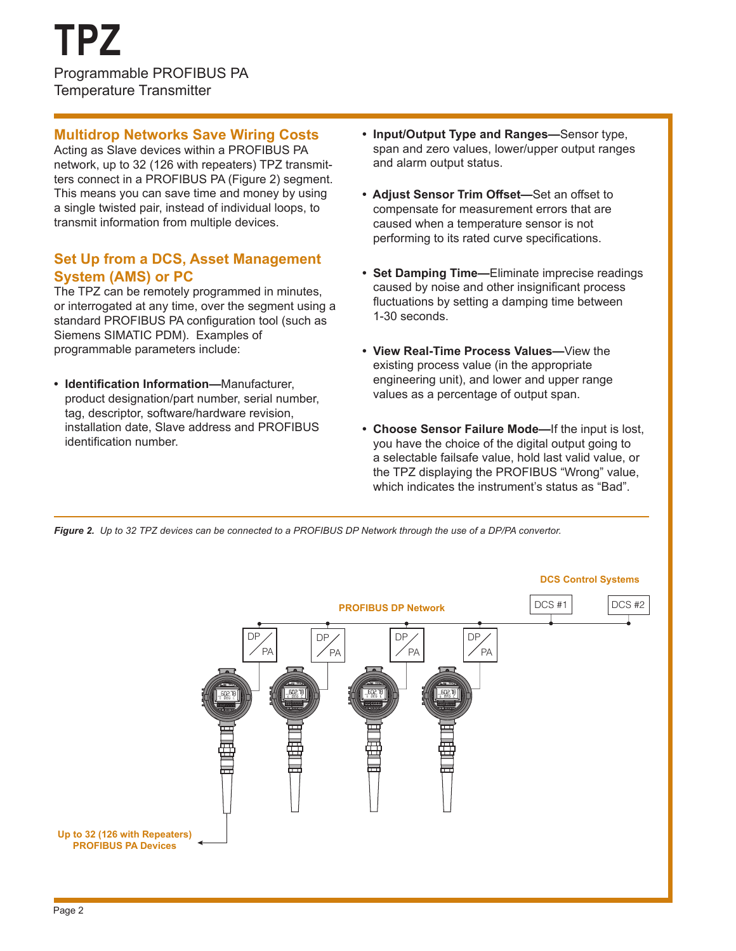#### **Multidrop Networks Save Wiring Costs**

Acting as Slave devices within a PROFIBUS PA network, up to 32 (126 with repeaters) TPZ transmitters connect in a PROFIBUS PA (Figure 2) segment. This means you can save time and money by using a single twisted pair, instead of individual loops, to transmit information from multiple devices.

#### **Set Up from a DCS, Asset Management System (AMS) or PC**

The TPZ can be remotely programmed in minutes, or interrogated at any time, over the segment using a standard PROFIBUS PA configuration tool (such as Siemens SIMATIC PDM). Examples of programmable parameters include:

**• Identification Information—**Manufacturer, product designation/part number, serial number, tag, descriptor, software/hardware revision, installation date, Slave address and PROFIBUS identification number.

- **• Input/Output Type and Ranges—**Sensor type, span and zero values, lower/upper output ranges and alarm output status.
- **Adjust Sensor Trim Offset—**Set an offset to compensate for measurement errors that are caused when a temperature sensor is not performing to its rated curve specifications.
- **• Set Damping Time—**Eliminate imprecise readings caused by noise and other insignificant process fluctuations by setting a damping time between 1-30 seconds.
- **• View Real-Time Process Values—**View the existing process value (in the appropriate engineering unit), and lower and upper range values as a percentage of output span.
- **• Choose Sensor Failure Mode—**If the input is lost, you have the choice of the digital output going to a selectable failsafe value, hold last valid value, or the TPZ displaying the PROFIBUS "Wrong" value, which indicates the instrument's status as "Bad".

*Figure 2. Up to 32 TPZ devices can be connected to a PROFIBUS DP Network through the use of a DP/PA convertor.* 

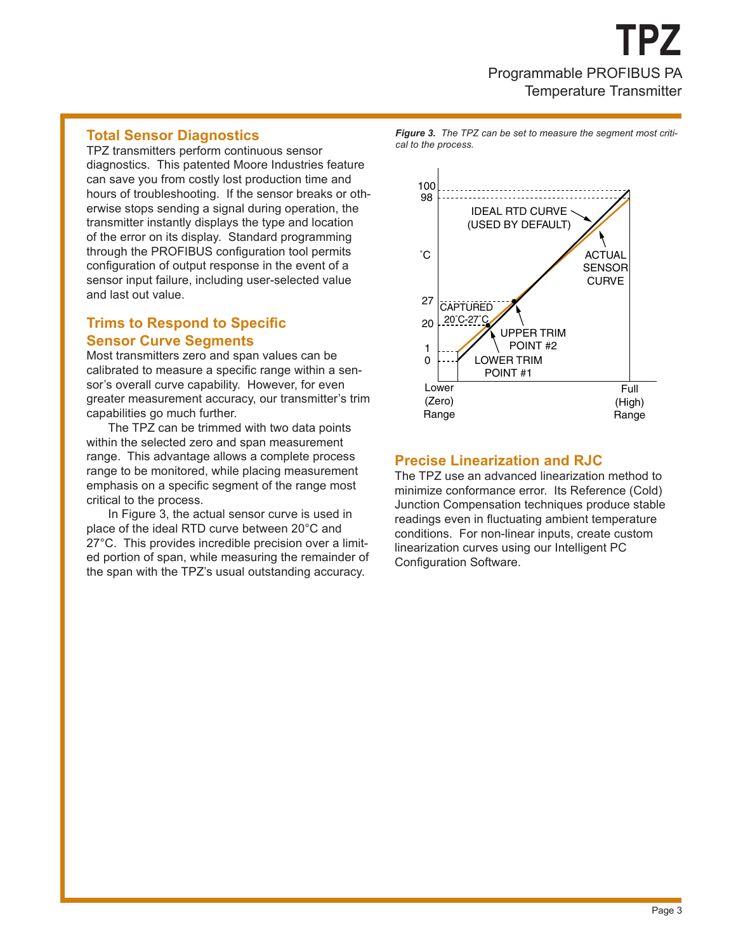#### **Total Sensor Diagnostics**

TPZ transmitters perform continuous sensor diagnostics. This patented Moore Industries feature can save you from costly lost production time and hours of troubleshooting. If the sensor breaks or otherwise stops sending a signal during operation, the transmitter instantly displays the type and location of the error on its display. Standard programming through the PROFIBUS configuration tool permits configuration of output response in the event of a sensor input failure, including user-selected value and last out value.

#### **Trims to Respond to Specific Sensor Curve Segments**

Most transmitters zero and span values can be calibrated to measure a specific range within a sensor's overall curve capability. However, for even greater measurement accuracy, our transmitter's trim capabilities go much further.

The TPZ can be trimmed with two data points within the selected zero and span measurement range. This advantage allows a complete process range to be monitored, while placing measurement emphasis on a specific segment of the range most critical to the process.

In Figure 3, the actual sensor curve is used in place of the ideal RTD curve between 20°C and 27°C. This provides incredible precision over a limited portion of span, while measuring the remainder of the span with the TPZ's usual outstanding accuracy.

*Figure 3. The TPZ can be set to measure the segment most critical to the process.*



#### **Precise Linearization and RJC**

The TPZ use an advanced linearization method to minimize conformance error. Its Reference (Cold) Junction Compensation techniques produce stable readings even in fluctuating ambient temperature conditions. For non-linear inputs, create custom linearization curves using our Intelligent PC Configuration Software.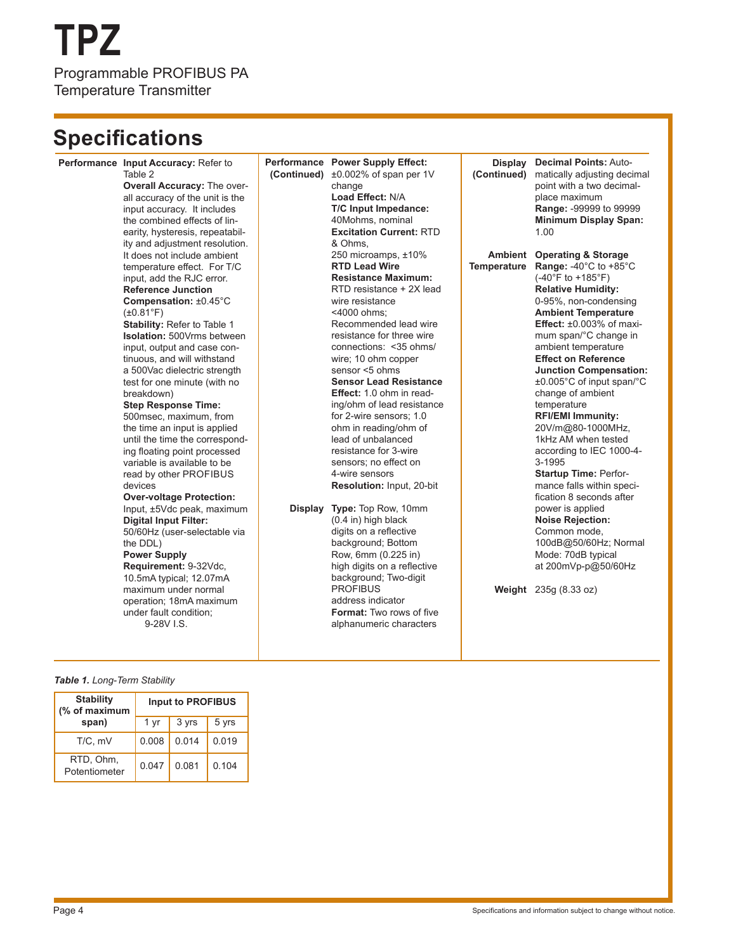## **TPZ** Programmable PROFIBUS PA Temperature Transmitter

### **Specifications**

| Performance Input Accuracy: Refer to<br>Table 2<br><b>Overall Accuracy: The over-</b><br>all accuracy of the unit is the<br>input accuracy. It includes<br>the combined effects of lin-<br>earity, hysteresis, repeatabil-<br>ity and adjustment resolution.<br>It does not include ambient<br>temperature effect. For T/C<br>input, add the RJC error.<br><b>Reference Junction</b>                                                                                                                                                                                                                                                                                                                                                                                                                            | Performance Power Supply Effect:<br>(Continued) ±0.002% of span per 1V<br>change<br>Load Effect: N/A<br>T/C Input Impedance:<br>40Mohms, nominal<br><b>Excitation Current: RTD</b><br>& Ohms,<br>250 microamps, ±10%<br><b>RTD Lead Wire</b><br><b>Resistance Maximum:</b><br>RTD resistance + 2X lead                                                                                                                                                                                                                                                                                                                                                                                                                    | Display<br>(Continued)<br><b>Temperature</b> | <b>Decimal Points: Auto-</b><br>matically adjusting decimal<br>point with a two decimal-<br>place maximum<br>Range: -99999 to 99999<br><b>Minimum Display Span:</b><br>1.00<br><b>Ambient</b> Operating & Storage<br>Range: -40°C to +85°C<br>$(-40^{\circ}F to +185^{\circ}F)$<br><b>Relative Humidity:</b>                                                                                                                                                                                                                                                                                                                                                |
|-----------------------------------------------------------------------------------------------------------------------------------------------------------------------------------------------------------------------------------------------------------------------------------------------------------------------------------------------------------------------------------------------------------------------------------------------------------------------------------------------------------------------------------------------------------------------------------------------------------------------------------------------------------------------------------------------------------------------------------------------------------------------------------------------------------------|---------------------------------------------------------------------------------------------------------------------------------------------------------------------------------------------------------------------------------------------------------------------------------------------------------------------------------------------------------------------------------------------------------------------------------------------------------------------------------------------------------------------------------------------------------------------------------------------------------------------------------------------------------------------------------------------------------------------------|----------------------------------------------|-------------------------------------------------------------------------------------------------------------------------------------------------------------------------------------------------------------------------------------------------------------------------------------------------------------------------------------------------------------------------------------------------------------------------------------------------------------------------------------------------------------------------------------------------------------------------------------------------------------------------------------------------------------|
| Compensation: ±0.45°C<br>$(\pm 0.81^{\circ}F)$<br>Stability: Refer to Table 1<br><b>Isolation: 500Vrms between</b><br>input, output and case con-<br>tinuous, and will withstand<br>a 500Vac dielectric strength<br>test for one minute (with no<br>breakdown)<br><b>Step Response Time:</b><br>500msec, maximum, from<br>the time an input is applied<br>until the time the correspond-<br>ing floating point processed<br>variable is available to be<br>read by other PROFIBUS<br>devices<br><b>Over-voltage Protection:</b><br>Input, ±5Vdc peak, maximum<br><b>Digital Input Filter:</b><br>50/60Hz (user-selectable via<br>the DDL)<br><b>Power Supply</b><br>Requirement: 9-32Vdc,<br>10.5mA typical; 12.07mA<br>maximum under normal<br>operation; 18mA maximum<br>under fault condition;<br>9-28V I.S. | wire resistance<br><4000 ohms:<br>Recommended lead wire<br>resistance for three wire<br>connections: < 35 ohms/<br>wire; 10 ohm copper<br>sensor <5 ohms<br><b>Sensor Lead Resistance</b><br><b>Effect:</b> 1.0 ohm in read-<br>ing/ohm of lead resistance<br>for 2-wire sensors; 1.0<br>ohm in reading/ohm of<br>lead of unbalanced<br>resistance for 3-wire<br>sensors; no effect on<br>4-wire sensors<br>Resolution: Input, 20-bit<br>Display Type: Top Row, 10mm<br>(0.4 in) high black<br>digits on a reflective<br>background; Bottom<br>Row, 6mm (0.225 in)<br>high digits on a reflective<br>background; Two-digit<br><b>PROFIBUS</b><br>address indicator<br>Format: Two rows of five<br>alphanumeric characters |                                              | 0-95%, non-condensing<br><b>Ambient Temperature</b><br>Effect: $\pm 0.003\%$ of maxi-<br>mum span/°C change in<br>ambient temperature<br><b>Effect on Reference</b><br><b>Junction Compensation:</b><br>$\pm 0.005^{\circ}$ C of input span/ $^{\circ}$ C<br>change of ambient<br>temperature<br><b>RFI/EMI Immunity:</b><br>20V/m@80-1000MHz,<br>1kHz AM when tested<br>according to IEC 1000-4-<br>3-1995<br>Startup Time: Perfor-<br>mance falls within speci-<br>fication 8 seconds after<br>power is applied<br><b>Noise Rejection:</b><br>Common mode,<br>100dB@50/60Hz; Normal<br>Mode: 70dB typical<br>at 200mVp-p@50/60Hz<br>Weight 235g (8.33 oz) |
|                                                                                                                                                                                                                                                                                                                                                                                                                                                                                                                                                                                                                                                                                                                                                                                                                 |                                                                                                                                                                                                                                                                                                                                                                                                                                                                                                                                                                                                                                                                                                                           |                                              |                                                                                                                                                                                                                                                                                                                                                                                                                                                                                                                                                                                                                                                             |

#### *Table 1. Long-Term Stability*

| <b>Stability</b><br>(% of maximum | <b>Input to PROFIBUS</b> |       |       |  |  |
|-----------------------------------|--------------------------|-------|-------|--|--|
| span)                             | 1 yr                     | 3 yrs | 5 yrs |  |  |
| $T/C$ , m $V$                     | 0.008                    | 0.014 | 0.019 |  |  |
| RTD, Ohm,<br>Potentiometer        | 0.047                    | 0.081 | 0.104 |  |  |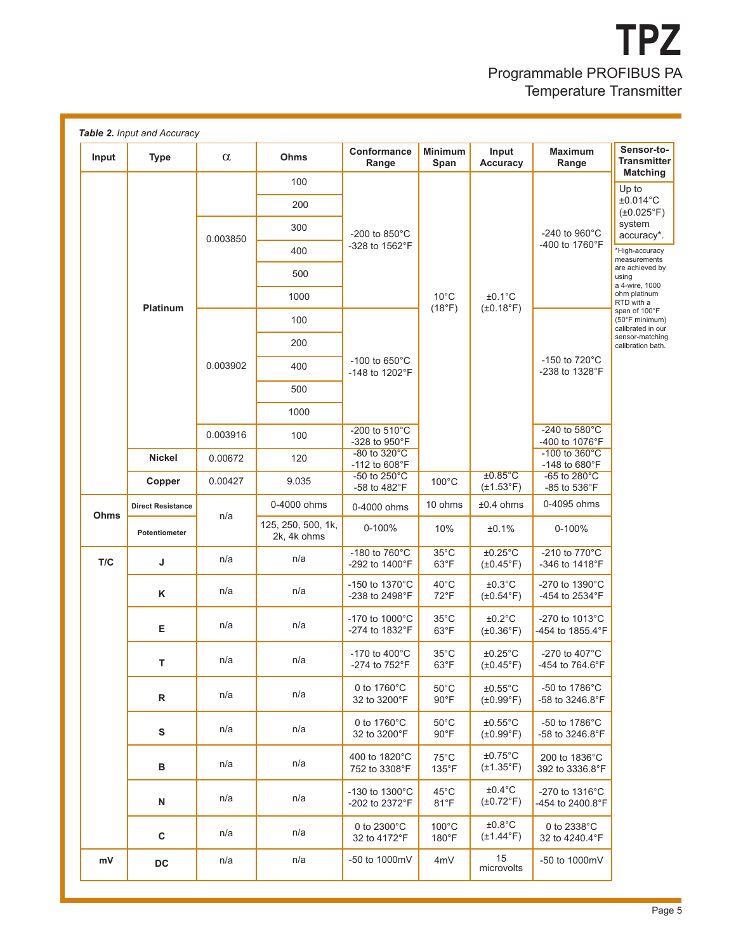

| Input | <b>Type</b>              | $\alpha$                                                    | Ohms                                     | Conformance<br>Range                                 | <b>Minimum</b><br>Span           | Input<br>Accuracy                          | Maximum<br>Range                            | Sensor-to-<br><b>Transmitter</b>                     |  |
|-------|--------------------------|-------------------------------------------------------------|------------------------------------------|------------------------------------------------------|----------------------------------|--------------------------------------------|---------------------------------------------|------------------------------------------------------|--|
|       |                          | 0.003850                                                    | 100                                      |                                                      | $10^{\circ}$ C<br>(18°F)         | $±0.1^{\circ}C$<br>$(\pm 0.18^{\circ}F)$   | -240 to 960°C<br>-400 to 1760°F             | <b>Matching</b><br>Up to                             |  |
|       |                          |                                                             | 200                                      |                                                      |                                  |                                            |                                             | ±0.014°C<br>$(\pm 0.025^{\circ}F)$                   |  |
|       |                          |                                                             | 300                                      | -200 to 850°C                                        |                                  |                                            |                                             | system<br>accuracy*.                                 |  |
|       |                          |                                                             | 400                                      | -328 to 1562°F                                       |                                  |                                            |                                             | *High-accuracy<br>measurements                       |  |
|       |                          |                                                             | 500                                      |                                                      |                                  |                                            |                                             | are achieved by<br>using                             |  |
|       |                          |                                                             | 1000                                     |                                                      |                                  |                                            |                                             | a 4-wire, 1000<br>ohm platinum<br>RTD with a         |  |
|       | Platinum                 | 0.003902                                                    | 100                                      |                                                      |                                  |                                            | -150 to $720^{\circ}$ C<br>-238 to 1328°F   | span of 100°F<br>(50°F minimum)<br>calibrated in our |  |
|       |                          |                                                             | 200                                      |                                                      |                                  |                                            |                                             | sensor-matching<br>calibration bath.                 |  |
|       |                          |                                                             | 400                                      | -100 to $650^{\circ}$ C<br>$-148$ to $1202^{\circ}F$ |                                  |                                            |                                             |                                                      |  |
|       |                          |                                                             | 500                                      |                                                      |                                  |                                            |                                             |                                                      |  |
|       |                          |                                                             | 1000                                     |                                                      |                                  |                                            |                                             |                                                      |  |
|       |                          | 0.003916                                                    | 100                                      | -200 to $510^{\circ}$ C<br>-328 to 950°F             |                                  |                                            | -240 to 580°C<br>-400 to 1076°F             |                                                      |  |
|       | Nickel                   | $-80$ to $320^{\circ}$ C<br>120<br>0.00672<br>-112 to 608°F | -100 to $360^{\circ}$ C<br>-148 to 680°F |                                                      |                                  |                                            |                                             |                                                      |  |
|       | Copper                   | 0.00427                                                     | 9.035                                    | -50 to $250^{\circ}$ C<br>-58 to 482°F               | $100^{\circ}$ C                  | $±0.85^{\circ}$ C<br>$(\pm 1.53^{\circ}F)$ | $-65$ to $280^{\circ}$ C<br>-85 to 536°F    |                                                      |  |
| Ohms  | <b>Direct Resistance</b> |                                                             | 0-4000 ohms                              | 0-4000 ohms                                          | 10 ohms                          | ±0.4 ohms                                  | 0-4095 ohms                                 |                                                      |  |
|       | Potentiometer            | n/a                                                         | 125, 250, 500, 1k,<br>2k, 4k ohms        | 0-100%                                               | 10%                              | ±0.1%                                      | 0-100%                                      |                                                      |  |
| T/C   | J                        | n/a                                                         | n/a                                      | -180 to 760°C<br>-292 to 1400°F                      | $35^{\circ}$ C<br>$63^{\circ}F$  | $±0.25^{\circ}$ C<br>$(\pm 0.45^{\circ}F)$ | -210 to 770°C<br>-346 to 1418°F             |                                                      |  |
|       | K                        | n/a                                                         | n/a                                      | $-150$ to $1370^{\circ}$ C<br>-238 to 2498°F         | $40^{\circ}$ C<br>72°F           | $±0.3$ °C<br>$(\pm 0.54$ °F)               | -270 to 1390°C<br>-454 to 2534°F            |                                                      |  |
|       | E                        | n/a                                                         | n/a                                      | $-170$ to $1000^{\circ}$ C<br>-274 to 1832°F         | $35^{\circ}$ C<br>63°F           | ±0.2°C<br>$(\pm 0.36^\circ F)$             | -270 to 1013°C<br>-454 to 1855.4°F          |                                                      |  |
|       | T.                       | n/a                                                         | n/a                                      | -170 to $400^{\circ}$ C<br>-274 to 752°F             | $35^{\circ}$ C<br>$63^{\circ}F$  | $±0.25^{\circ}$ C<br>$(\pm 0.45^{\circ}F)$ | -270 to 407 $^{\circ}$ C<br>-454 to 764.6°F |                                                      |  |
|       | $\mathsf{R}$             | n/a                                                         | n/a                                      | 0 to 1760°C<br>32 to 3200°F                          | $50^{\circ}$ C<br>$90^{\circ}$ F | $±0.55^{\circ}$ C<br>$(\pm 0.99^{\circ}F)$ | -50 to 1786°C<br>-58 to 3246.8°F            |                                                      |  |
|       | ${\bf s}$                | n/a                                                         | n/a                                      | 0 to 1760°C<br>32 to 3200°F                          | $50^{\circ}$ C<br>$90^{\circ}$ F | $±0.55^{\circ}$ C<br>$(\pm 0.99^{\circ}F)$ | -50 to 1786°C<br>-58 to 3246.8°F            |                                                      |  |
|       | в                        | n/a                                                         | n/a                                      | 400 to 1820°C<br>752 to 3308°F                       | $75^{\circ}$ C<br>135°F          | $±0.75^{\circ}$ C<br>$(\pm 1.35^{\circ}F)$ | 200 to 1836°C<br>392 to 3336.8°F            |                                                      |  |
|       | $\mathsf{N}$             | n/a                                                         | n/a                                      | -130 to 1300°C<br>-202 to 2372°F                     | $45^{\circ}$ C<br>$81^{\circ}F$  | $±0.4$ °C<br>$(\pm 0.72$ °F)               | -270 to 1316°C<br>-454 to 2400.8°F          |                                                      |  |
|       | $\mathbf{C}$             | n/a                                                         | n/a                                      | 0 to 2300°C<br>32 to 4172°F                          | $100^{\circ}$ C<br>180°F         | ±0.8°C<br>$(\pm 1.44$ °F)                  | 0 to 2338°C<br>32 to 4240.4°F               |                                                      |  |
| mV    | DC                       | n/a                                                         | n/a                                      | -50 to 1000mV                                        | 4mV                              | 15<br>microvolts                           | -50 to 1000mV                               |                                                      |  |
|       |                          |                                                             |                                          |                                                      |                                  |                                            |                                             |                                                      |  |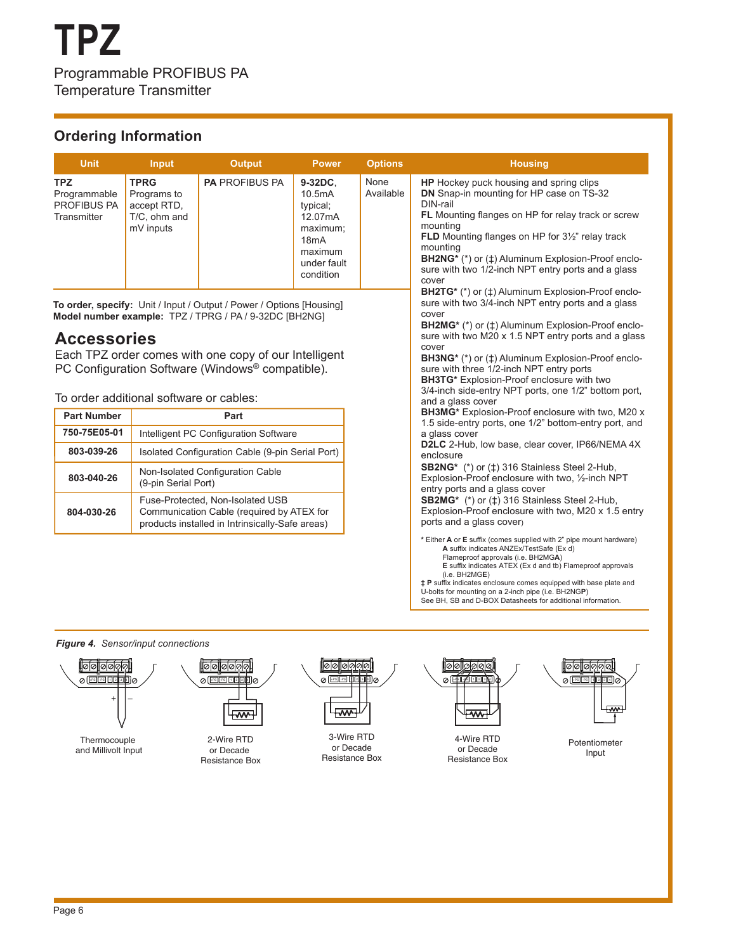#### **Ordering Information**

| <b>Unit</b>                                              | Input                                                                  | <b>Output</b>         | <b>Power</b>                                                                                                     | <b>Options</b>    | <b>Housing</b>                                                                                                                                                                                                                                                                                                                                                                                     |
|----------------------------------------------------------|------------------------------------------------------------------------|-----------------------|------------------------------------------------------------------------------------------------------------------|-------------------|----------------------------------------------------------------------------------------------------------------------------------------------------------------------------------------------------------------------------------------------------------------------------------------------------------------------------------------------------------------------------------------------------|
| <b>TPZ</b><br>Programmable<br>PROFIBUS PA<br>Transmitter | <b>TPRG</b><br>Programs to<br>accept RTD,<br>T/C, ohm and<br>mV inputs | <b>PA PROFIBUS PA</b> | 9-32DC.<br>10.5 <sub>m</sub> A<br>typical;<br>12.07mA<br>maximum;<br>18mA<br>maximum<br>under fault<br>condition | None<br>Available | <b>HP</b> Hockey puck housing and spring clips<br>DN Snap-in mounting for HP case on TS-32<br>DIN-rail<br><b>FL</b> Mounting flanges on HP for relay track or screw<br>mounting<br><b>FLD</b> Mounting flanges on HP for $3\frac{1}{2}$ " relay track<br>mounting<br><b>BH2NG*</b> (*) or ( $\pm$ ) Aluminum Explosion-Proof enclo-<br>sure with two 1/2-inch NPT entry ports and a glass<br>cover |
|                                                          |                                                                        |                       |                                                                                                                  |                   | <b>BH2TG*</b> (*) or ( $\uparrow$ ) Aluminum Explosion-Proof enclo-                                                                                                                                                                                                                                                                                                                                |

**To order, specify:** Unit / Input / Output / Power / Options [Housing] **Model number example:** TPZ / TPRG / PA / 9-32DC [BH2NG]

#### **Accessories**

Each TPZ order comes with one copy of our Intelligent PC Configuration Software (Windows® compatible).

To order additional software or cables:

| <b>Part Number</b> | Part                                                                                                                             |
|--------------------|----------------------------------------------------------------------------------------------------------------------------------|
| 750-75E05-01       | Intelligent PC Configuration Software                                                                                            |
| 803-039-26         | Isolated Configuration Cable (9-pin Serial Port)                                                                                 |
| 803-040-26         | Non-Isolated Configuration Cable<br>(9-pin Serial Port)                                                                          |
| 804-030-26         | Fuse-Protected, Non-Isolated USB<br>Communication Cable (required by ATEX for<br>products installed in Intrinsically-Safe areas) |

sure with two 3/4-inch NPT entry ports and a glass cover **BH2MG\*** (\*) or (‡) Aluminum Explosion-Proof enclosure with two M20 x 1.5 NPT entry ports and a glass cover **BH3NG\*** (\*) or (‡) Aluminum Explosion-Proof enclosure with three 1/2-inch NPT entry ports **BH3TG\*** Explosion-Proof enclosure with two 3/4-inch side-entry NPT ports, one 1/2" bottom port, and a glass cover **BH3MG\*** Explosion-Proof enclosure with two, M20 x 1.5 side-entry ports, one 1/2" bottom-entry port, and a glass cover **D2LC** 2-Hub, low base, clear cover, IP66/NEMA 4X enclosure **SB2NG\*** (\*) or (‡) 316 Stainless Steel 2-Hub, Explosion-Proof enclosure with two, ½-inch NPT entry ports and a glass cover **SB2MG\*** (\*) or (‡) 316 Stainless Steel 2-Hub, Explosion-Proof enclosure with two, M20 x 1.5 entry ports and a glass cover) **\*** Either **A** or **E** suffix (comes supplied with 2" pipe mount hardware) **A** suffix indicates ANZEx/TestSafe (Ex d) Flameproof approvals (i.e. BH2MG**A**) **E** suffix indicates ATEX (Ex d and tb) Flameproof approvals (i.e. BH2MG**E**) **‡ P** suffix indicates enclosure comes equipped with base plate and

U-bolts for mounting on a 2-inch pipe (i.e. BH2NG**P**) See BH, SB and D-BOX Datasheets for additional information.

*Figure 4. Sensor/input connections*





løløløl

1010

Potentiometer Input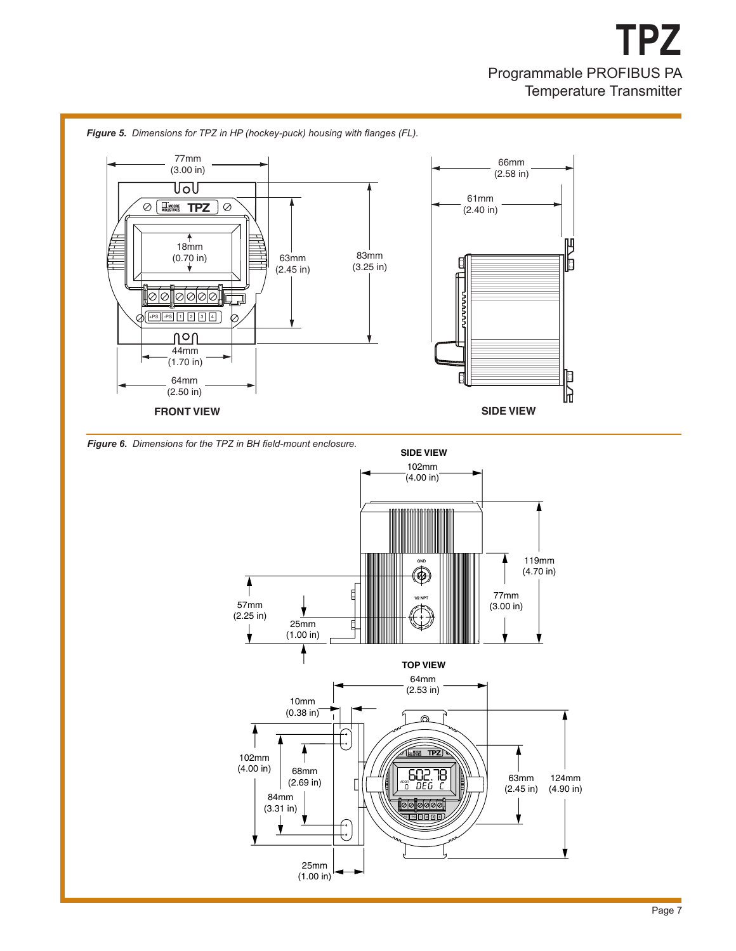

*Figure 5. Dimensions for TPZ in HP (hockey-puck) housing with flanges (FL).*